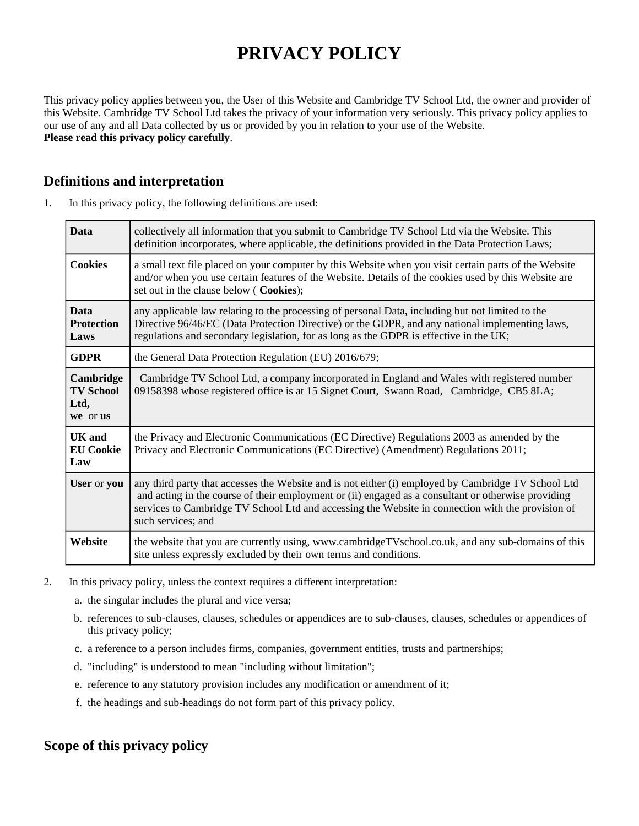# **PRIVACY POLICY**

This privacy policy applies between you, the User of this Website and Cambridge TV School Ltd, the owner and provider of this Website. Cambridge TV School Ltd takes the privacy of your information very seriously. This privacy policy applies to our use of any and all Data collected by us or provided by you in relation to your use of the Website. **Please read this privacy policy carefully**.

# **Definitions and interpretation**

| 1. | In this privacy policy, the following definitions are used: |  |  |
|----|-------------------------------------------------------------|--|--|
|----|-------------------------------------------------------------|--|--|

| <b>Data</b>                                       | collectively all information that you submit to Cambridge TV School Ltd via the Website. This<br>definition incorporates, where applicable, the definitions provided in the Data Protection Laws;                                                                                                                                     |  |
|---------------------------------------------------|---------------------------------------------------------------------------------------------------------------------------------------------------------------------------------------------------------------------------------------------------------------------------------------------------------------------------------------|--|
| <b>Cookies</b>                                    | a small text file placed on your computer by this Website when you visit certain parts of the Website<br>and/or when you use certain features of the Website. Details of the cookies used by this Website are<br>set out in the clause below ( Cookies);                                                                              |  |
| <b>Data</b><br><b>Protection</b><br>Laws          | any applicable law relating to the processing of personal Data, including but not limited to the<br>Directive 96/46/EC (Data Protection Directive) or the GDPR, and any national implementing laws,<br>regulations and secondary legislation, for as long as the GDPR is effective in the UK;                                         |  |
| <b>GDPR</b>                                       | the General Data Protection Regulation (EU) 2016/679;                                                                                                                                                                                                                                                                                 |  |
| Cambridge<br><b>TV School</b><br>Ltd,<br>we or us | Cambridge TV School Ltd, a company incorporated in England and Wales with registered number<br>09158398 whose registered office is at 15 Signet Court, Swann Road, Cambridge, CB5 8LA;                                                                                                                                                |  |
| <b>UK</b> and<br><b>EU Cookie</b><br>Law          | the Privacy and Electronic Communications (EC Directive) Regulations 2003 as amended by the<br>Privacy and Electronic Communications (EC Directive) (Amendment) Regulations 2011;                                                                                                                                                     |  |
| User or you                                       | any third party that accesses the Website and is not either (i) employed by Cambridge TV School Ltd<br>and acting in the course of their employment or (ii) engaged as a consultant or otherwise providing<br>services to Cambridge TV School Ltd and accessing the Website in connection with the provision of<br>such services; and |  |
| Website                                           | the website that you are currently using, www.cambridgeTVschool.co.uk, and any sub-domains of this<br>site unless expressly excluded by their own terms and conditions.                                                                                                                                                               |  |

- 2. In this privacy policy, unless the context requires a different interpretation:
	- a. the singular includes the plural and vice versa;
	- b. references to sub-clauses, clauses, schedules or appendices are to sub-clauses, clauses, schedules or appendices of this privacy policy;
	- c. a reference to a person includes firms, companies, government entities, trusts and partnerships;
	- d. "including" is understood to mean "including without limitation";
	- e. reference to any statutory provision includes any modification or amendment of it;
	- f. the headings and sub-headings do not form part of this privacy policy.

# **Scope of this privacy policy**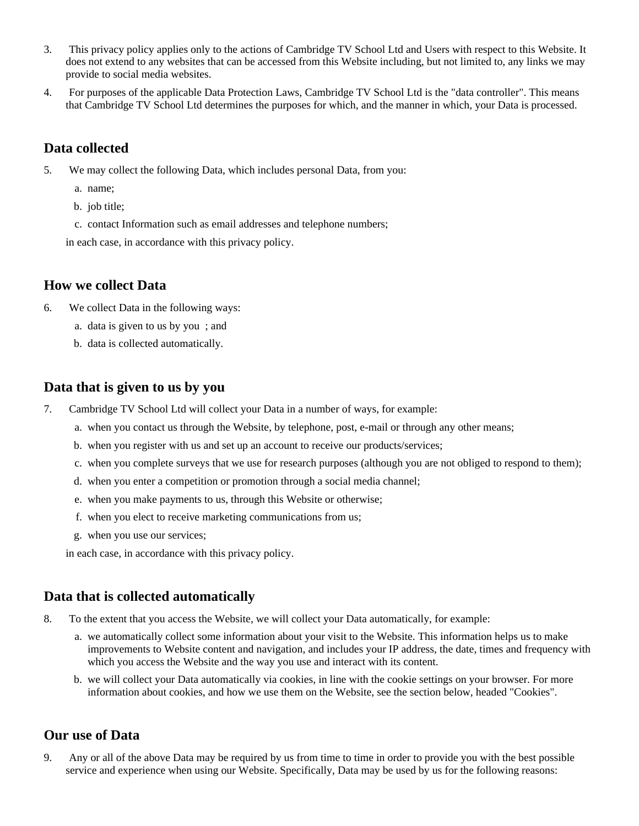- 3. This privacy policy applies only to the actions of Cambridge TV School Ltd and Users with respect to this Website. It does not extend to any websites that can be accessed from this Website including, but not limited to, any links we may provide to social media websites.
- 4. For purposes of the applicable Data Protection Laws, Cambridge TV School Ltd is the "data controller". This means that Cambridge TV School Ltd determines the purposes for which, and the manner in which, your Data is processed.

# **Data collected**

- 5. We may collect the following Data, which includes personal Data, from you:
	- a. name;
	- b. job title;
	- c. contact Information such as email addresses and telephone numbers;
	- in each case, in accordance with this privacy policy.

#### **How we collect Data**

- 6. We collect Data in the following ways:
	- a. data is given to us by you ; and
	- b. data is collected automatically.

#### **Data that is given to us by you**

- 7. Cambridge TV School Ltd will collect your Data in a number of ways, for example:
	- a. when you contact us through the Website, by telephone, post, e-mail or through any other means;
	- b. when you register with us and set up an account to receive our products/services;
	- c. when you complete surveys that we use for research purposes (although you are not obliged to respond to them);
	- d. when you enter a competition or promotion through a social media channel;
	- e. when you make payments to us, through this Website or otherwise;
	- f. when you elect to receive marketing communications from us;
	- g. when you use our services;

in each case, in accordance with this privacy policy.

# **Data that is collected automatically**

- 8. To the extent that you access the Website, we will collect your Data automatically, for example:
	- a. we automatically collect some information about your visit to the Website. This information helps us to make improvements to Website content and navigation, and includes your IP address, the date, times and frequency with which you access the Website and the way you use and interact with its content.
	- b. we will collect your Data automatically via cookies, in line with the cookie settings on your browser. For more information about cookies, and how we use them on the Website, see the section below, headed "Cookies".

#### **Our use of Data**

9. Any or all of the above Data may be required by us from time to time in order to provide you with the best possible service and experience when using our Website. Specifically, Data may be used by us for the following reasons: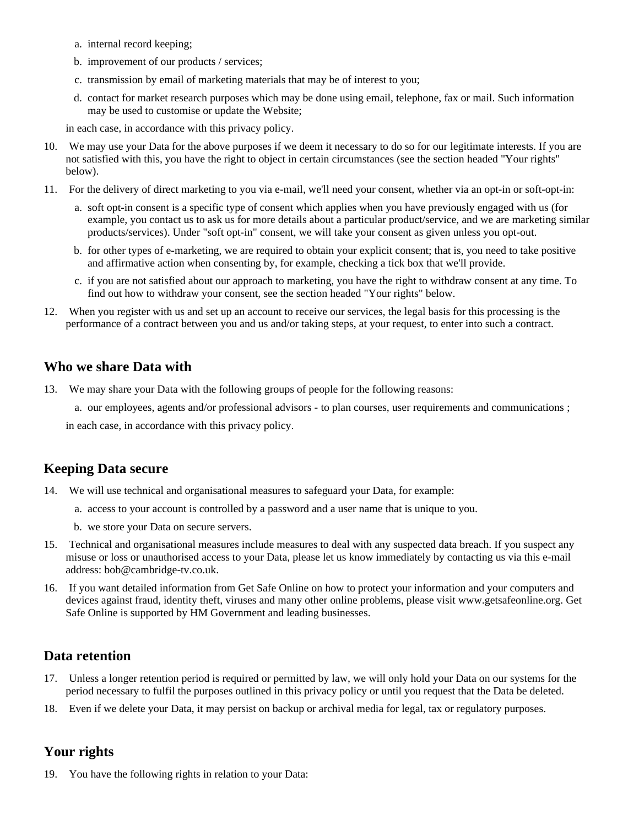- a. internal record keeping;
- b. improvement of our products / services;
- c. transmission by email of marketing materials that may be of interest to you;
- d. contact for market research purposes which may be done using email, telephone, fax or mail. Such information may be used to customise or update the Website;

in each case, in accordance with this privacy policy.

- 10. We may use your Data for the above purposes if we deem it necessary to do so for our legitimate interests. If you are not satisfied with this, you have the right to object in certain circumstances (see the section headed "Your rights" below).
- 11. For the delivery of direct marketing to you via e-mail, we'll need your consent, whether via an opt-in or soft-opt-in:
	- a. soft opt-in consent is a specific type of consent which applies when you have previously engaged with us (for example, you contact us to ask us for more details about a particular product/service, and we are marketing similar products/services). Under "soft opt-in" consent, we will take your consent as given unless you opt-out.
	- b. for other types of e-marketing, we are required to obtain your explicit consent; that is, you need to take positive and affirmative action when consenting by, for example, checking a tick box that we'll provide.
	- c. if you are not satisfied about our approach to marketing, you have the right to withdraw consent at any time. To find out how to withdraw your consent, see the section headed "Your rights" below.
- 12. When you register with us and set up an account to receive our services, the legal basis for this processing is the performance of a contract between you and us and/or taking steps, at your request, to enter into such a contract.

#### **Who we share Data with**

- 13. We may share your Data with the following groups of people for the following reasons:
	- a. our employees, agents and/or professional advisors to plan courses, user requirements and communications ;

in each case, in accordance with this privacy policy.

# **Keeping Data secure**

- 14. We will use technical and organisational measures to safeguard your Data, for example:
	- a. access to your account is controlled by a password and a user name that is unique to you.
	- b. we store your Data on secure servers.
- 15. Technical and organisational measures include measures to deal with any suspected data breach. If you suspect any misuse or loss or unauthorised access to your Data, please let us know immediately by contacting us via this e-mail address: bob@cambridge-tv.co.uk.
- 16. If you want detailed information from Get Safe Online on how to protect your information and your computers and devices against fraud, identity theft, viruses and many other online problems, please visit www.getsafeonline.org. Get Safe Online is supported by HM Government and leading businesses.

# **Data retention**

- 17. Unless a longer retention period is required or permitted by law, we will only hold your Data on our systems for the period necessary to fulfil the purposes outlined in this privacy policy or until you request that the Data be deleted.
- 18. Even if we delete your Data, it may persist on backup or archival media for legal, tax or regulatory purposes.

# **Your rights**

19. You have the following rights in relation to your Data: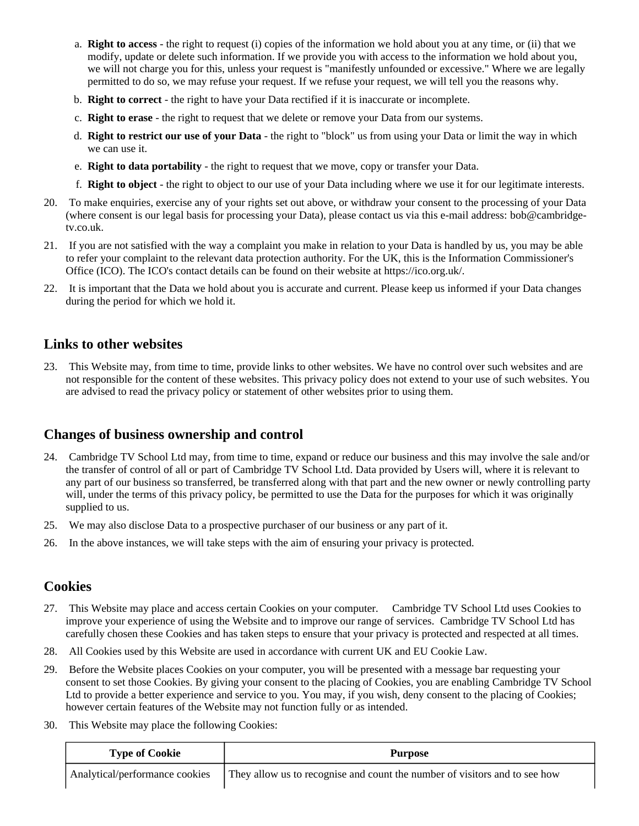- a. **Right to access** the right to request (i) copies of the information we hold about you at any time, or (ii) that we modify, update or delete such information. If we provide you with access to the information we hold about you, we will not charge you for this, unless your request is "manifestly unfounded or excessive." Where we are legally permitted to do so, we may refuse your request. If we refuse your request, we will tell you the reasons why.
- b. **Right to correct** the right to have your Data rectified if it is inaccurate or incomplete.
- c. **Right to erase** the right to request that we delete or remove your Data from our systems.
- d. **Right to restrict our use of your Data** the right to "block" us from using your Data or limit the way in which we can use it.
- e. **Right to data portability** the right to request that we move, copy or transfer your Data.
- f. **Right to object** the right to object to our use of your Data including where we use it for our legitimate interests.
- 20. To make enquiries, exercise any of your rights set out above, or withdraw your consent to the processing of your Data (where consent is our legal basis for processing your Data), please contact us via this e-mail address: bob@cambridgetv.co.uk.
- 21. If you are not satisfied with the way a complaint you make in relation to your Data is handled by us, you may be able to refer your complaint to the relevant data protection authority. For the UK, this is the Information Commissioner's Office (ICO). The ICO's contact details can be found on their website at https://ico.org.uk/.
- 22. It is important that the Data we hold about you is accurate and current. Please keep us informed if your Data changes during the period for which we hold it.

#### **Links to other websites**

23. This Website may, from time to time, provide links to other websites. We have no control over such websites and are not responsible for the content of these websites. This privacy policy does not extend to your use of such websites. You are advised to read the privacy policy or statement of other websites prior to using them.

# **Changes of business ownership and control**

- 24. Cambridge TV School Ltd may, from time to time, expand or reduce our business and this may involve the sale and/or the transfer of control of all or part of Cambridge TV School Ltd. Data provided by Users will, where it is relevant to any part of our business so transferred, be transferred along with that part and the new owner or newly controlling party will, under the terms of this privacy policy, be permitted to use the Data for the purposes for which it was originally supplied to us.
- 25. We may also disclose Data to a prospective purchaser of our business or any part of it.
- 26. In the above instances, we will take steps with the aim of ensuring your privacy is protected.

#### **Cookies**

- 27. This Website may place and access certain Cookies on your computer. Cambridge TV School Ltd uses Cookies to improve your experience of using the Website and to improve our range of services. Cambridge TV School Ltd has carefully chosen these Cookies and has taken steps to ensure that your privacy is protected and respected at all times.
- 28. All Cookies used by this Website are used in accordance with current UK and EU Cookie Law.
- 29. Before the Website places Cookies on your computer, you will be presented with a message bar requesting your consent to set those Cookies. By giving your consent to the placing of Cookies, you are enabling Cambridge TV School Ltd to provide a better experience and service to you. You may, if you wish, deny consent to the placing of Cookies; however certain features of the Website may not function fully or as intended.
- 30. This Website may place the following Cookies:

| <b>Type of Cookie</b>          | <b>Purpose</b>                                                             |
|--------------------------------|----------------------------------------------------------------------------|
| Analytical/performance cookies | They allow us to recognise and count the number of visitors and to see how |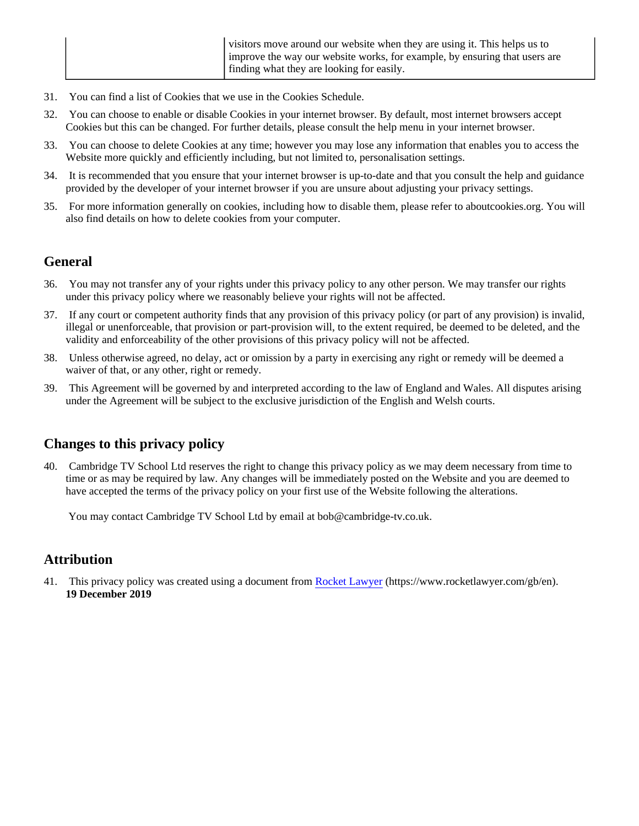|  | visitors move around our website when they are using it. This helps us to<br>improve the way our website works, for example, by ensuring that users are |
|--|---------------------------------------------------------------------------------------------------------------------------------------------------------|
|  | If inding what they are looking for easily.                                                                                                             |

- 31. You can find a list of Cookies that we use in the Cookies Schedule.
- 32. You can choose to enable or disable Cookies in your internet browser. By default, most internet browsers accept Cookies but this can be changed. For further details, please consult the help menu in your internet browser.
- 33. You can choose to delete Cookies at any time; however you may lose any information that enables you to access the Website more quickly and efficiently including, but not limited to, personalisation settings.
- 34. It is recommended that you ensure that your internet browser is up-to-date and that you consult the help and guidance provided by the developer of your internet browser if you are unsure about adjusting your privacy settings.
- 35. For more information generally on cookies, including how to disable them, please refer to aboutcookies.org. You will also find details on how to delete cookies from your computer.

# **General**

- 36. You may not transfer any of your rights under this privacy policy to any other person. We may transfer our rights under this privacy policy where we reasonably believe your rights will not be affected.
- 37. If any court or competent authority finds that any provision of this privacy policy (or part of any provision) is invalid, illegal or unenforceable, that provision or part-provision will, to the extent required, be deemed to be deleted, and the validity and enforceability of the other provisions of this privacy policy will not be affected.
- 38. Unless otherwise agreed, no delay, act or omission by a party in exercising any right or remedy will be deemed a waiver of that, or any other, right or remedy.
- 39. This Agreement will be governed by and interpreted according to the law of England and Wales. All disputes arising under the Agreement will be subject to the exclusive jurisdiction of the English and Welsh courts.

# **Changes to this privacy policy**

40. Cambridge TV School Ltd reserves the right to change this privacy policy as we may deem necessary from time to time or as may be required by law. Any changes will be immediately posted on the Website and you are deemed to have accepted the terms of the privacy policy on your first use of the Website following the alterations.

You may contact Cambridge TV School Ltd by email at bob@cambridge-tv.co.uk.

# **Attribution**

41. This privacy policy was created using a document from [Rocket Lawyer](https://www.rocketlawyer.com/gb/en/) (https://www.rocketlawyer.com/gb/en). **19 December 2019**